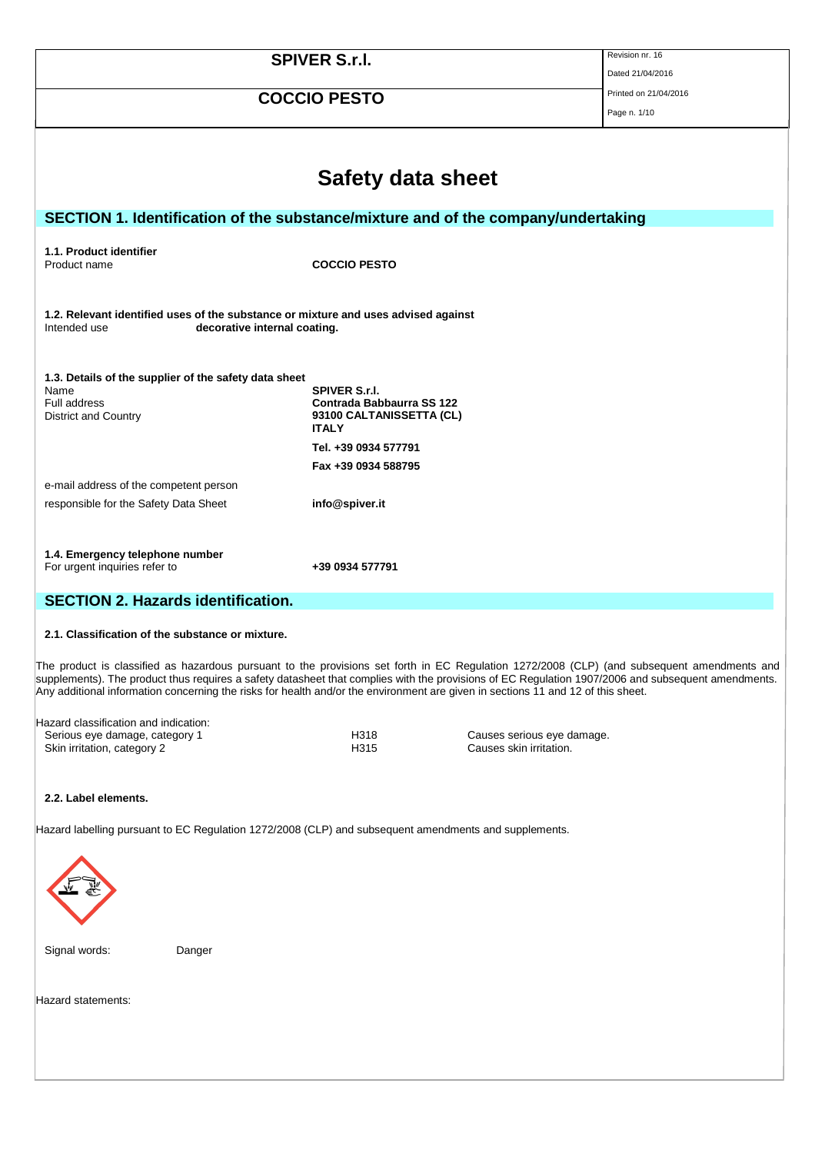|                                                                                                                                    |                                                                                   | Revision nr. 16       |  |  |
|------------------------------------------------------------------------------------------------------------------------------------|-----------------------------------------------------------------------------------|-----------------------|--|--|
|                                                                                                                                    | <b>SPIVER S.r.I.</b>                                                              |                       |  |  |
|                                                                                                                                    |                                                                                   | Dated 21/04/2016      |  |  |
|                                                                                                                                    | <b>COCCIO PESTO</b>                                                               | Printed on 21/04/2016 |  |  |
|                                                                                                                                    |                                                                                   | Page n. 1/10          |  |  |
|                                                                                                                                    | <b>Safety data sheet</b>                                                          |                       |  |  |
|                                                                                                                                    | SECTION 1. Identification of the substance/mixture and of the company/undertaking |                       |  |  |
|                                                                                                                                    |                                                                                   |                       |  |  |
| 1.1. Product identifier                                                                                                            |                                                                                   |                       |  |  |
| Product name                                                                                                                       | <b>COCCIO PESTO</b>                                                               |                       |  |  |
|                                                                                                                                    |                                                                                   |                       |  |  |
| 1.2. Relevant identified uses of the substance or mixture and uses advised against<br>Intended use<br>decorative internal coating. |                                                                                   |                       |  |  |
|                                                                                                                                    |                                                                                   |                       |  |  |
| 1.3. Details of the supplier of the safety data sheet<br>Name                                                                      | <b>SPIVER S.r.I.</b>                                                              |                       |  |  |
| Full address                                                                                                                       | <b>Contrada Babbaurra SS 122</b>                                                  |                       |  |  |
| District and Country                                                                                                               | 93100 CALTANISSETTA (CL)                                                          |                       |  |  |
|                                                                                                                                    | <b>ITALY</b>                                                                      |                       |  |  |
|                                                                                                                                    | Tel. +39 0934 577791                                                              |                       |  |  |
|                                                                                                                                    | Fax +39 0934 588795                                                               |                       |  |  |
| e-mail address of the competent person                                                                                             |                                                                                   |                       |  |  |
| responsible for the Safety Data Sheet                                                                                              | info@spiver.it                                                                    |                       |  |  |
|                                                                                                                                    |                                                                                   |                       |  |  |
|                                                                                                                                    |                                                                                   |                       |  |  |
| 1.4. Emergency telephone number                                                                                                    |                                                                                   |                       |  |  |
| For urgent inquiries refer to                                                                                                      | +39 0934 577791                                                                   |                       |  |  |
|                                                                                                                                    |                                                                                   |                       |  |  |
| <b>SECTION 2. Hazards identification.</b>                                                                                          |                                                                                   |                       |  |  |
|                                                                                                                                    |                                                                                   |                       |  |  |
| 2.1. Classification of the substance or mixture.                                                                                   |                                                                                   |                       |  |  |

The product is classified as hazardous pursuant to the provisions set forth in EC Regulation 1272/2008 (CLP) (and subsequent amendments and supplements). The product thus requires a safety datasheet that complies with the provisions of EC Regulation 1907/2006 and subsequent amendments. Any additional information concerning the risks for health and/or the environment are given in sections 11 and 12 of this sheet.

| Hazard classification and indication: |
|---------------------------------------|
| Serious eye damage, category 1        |
| Skin irritation, category 2           |

H318 Causes serious eye damage.<br>
H315 Causes skin irritation. Causes skin irritation.

#### **2.2. Label elements.**

Hazard labelling pursuant to EC Regulation 1272/2008 (CLP) and subsequent amendments and supplements.



Signal words: Danger

Hazard statements: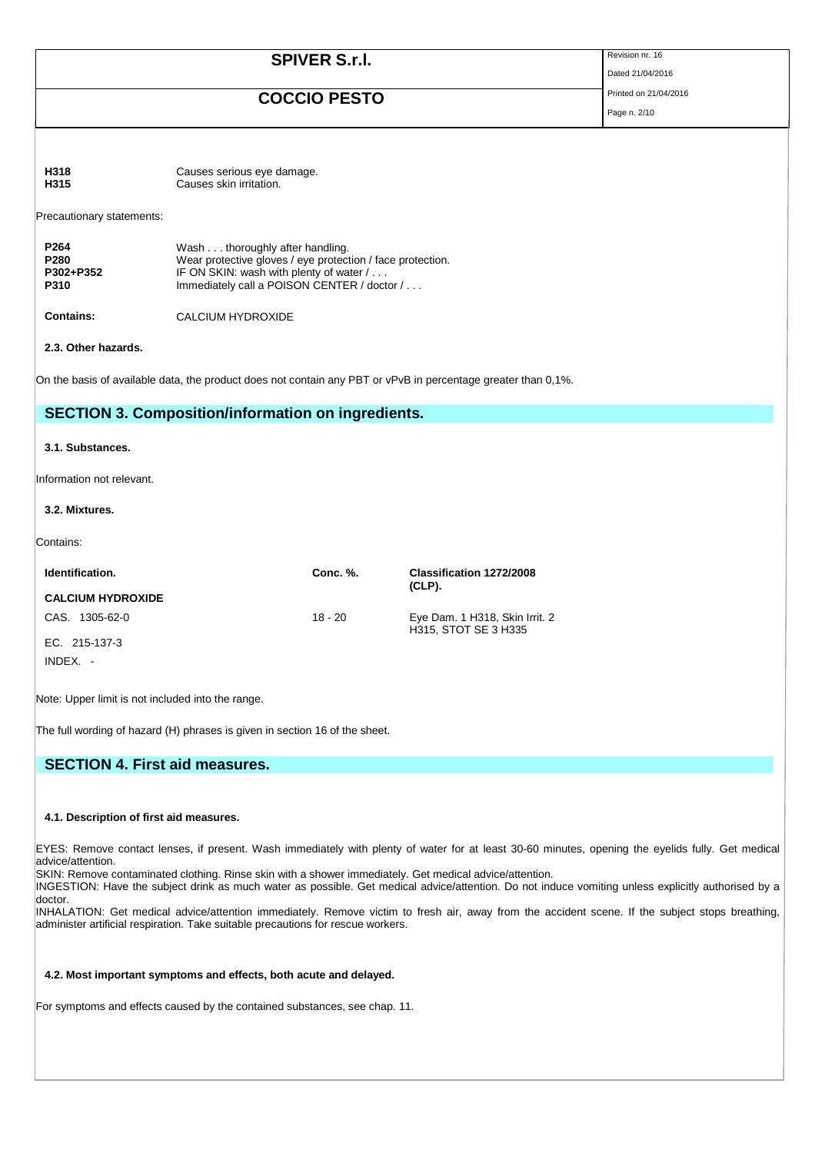| <b>SPIVER S.r.I.</b>                          |                                                                                                                                                                                         | Revision nr. 16<br>Dated 21/04/2016 |  |
|-----------------------------------------------|-----------------------------------------------------------------------------------------------------------------------------------------------------------------------------------------|-------------------------------------|--|
|                                               | Printed on 21/04/2016<br>Page n. 2/10                                                                                                                                                   |                                     |  |
|                                               |                                                                                                                                                                                         |                                     |  |
| H318<br>H315                                  | Causes serious eye damage.<br>Causes skin irritation.                                                                                                                                   |                                     |  |
| Precautionary statements:                     |                                                                                                                                                                                         |                                     |  |
| P <sub>264</sub><br>P280<br>P302+P352<br>P310 | Wash thoroughly after handling.<br>Wear protective gloves / eye protection / face protection.<br>IF ON SKIN: wash with plenty of water /<br>Immediately call a POISON CENTER / doctor / |                                     |  |
| <b>Contains:</b>                              | <b>CALCIUM HYDROXIDE</b>                                                                                                                                                                |                                     |  |
| 2.3. Other hazards.                           |                                                                                                                                                                                         |                                     |  |
|                                               | On the basis of available data, the product does not contain any PBT or vPvB in percentage greater than 0,1%.                                                                           |                                     |  |
|                                               | <b>SECTION 3. Composition/information on ingredients.</b>                                                                                                                               |                                     |  |
| 3.1 Substances                                |                                                                                                                                                                                         |                                     |  |

Information not relevant.

#### **3.2. Mixtures.**

Contains:

| Identification.          | Conc. %.  | Classification 1272/2008<br>$(CLP)$ .                  |
|--------------------------|-----------|--------------------------------------------------------|
| <b>CALCIUM HYDROXIDE</b> |           |                                                        |
| CAS. 1305-62-0           | $18 - 20$ | Eye Dam. 1 H318, Skin Irrit. 2<br>H315, STOT SE 3 H335 |
| EC. 215-137-3            |           |                                                        |
| $INDEX. -$               |           |                                                        |

Note: Upper limit is not included into the range.

The full wording of hazard (H) phrases is given in section 16 of the sheet.

## **SECTION 4. First aid measures.**

#### **4.1. Description of first aid measures.**

EYES: Remove contact lenses, if present. Wash immediately with plenty of water for at least 30-60 minutes, opening the eyelids fully. Get medical advice/attention.

SKIN: Remove contaminated clothing. Rinse skin with a shower immediately. Get medical advice/attention.

INGESTION: Have the subject drink as much water as possible. Get medical advice/attention. Do not induce vomiting unless explicitly authorised by a doctor.

INHALATION: Get medical advice/attention immediately. Remove victim to fresh air, away from the accident scene. If the subject stops breathing, administer artificial respiration. Take suitable precautions for rescue workers.

#### **4.2. Most important symptoms and effects, both acute and delayed.**

For symptoms and effects caused by the contained substances, see chap. 11.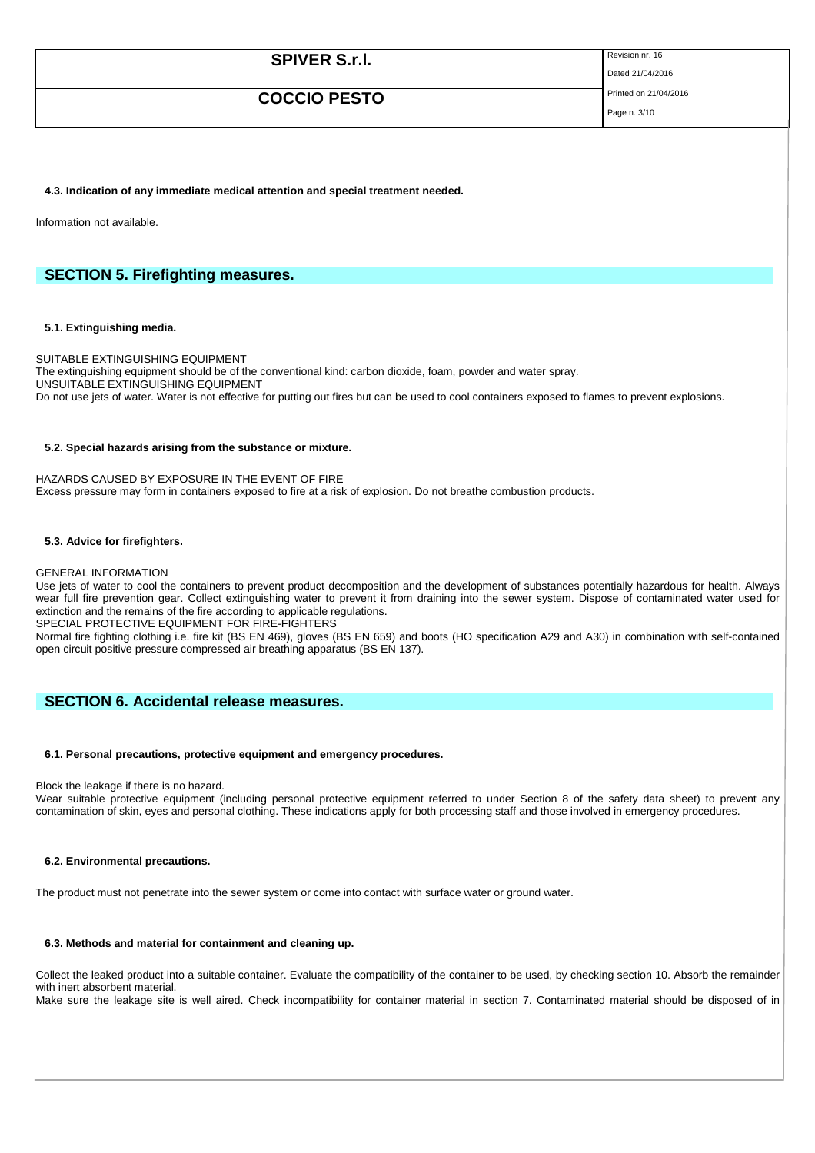# **SPIVER S.r.I.** Revision nr. 16

Dated 21/04/2016

# **COCCIO PESTO** Printed on 21/04/2016

Page n. 3/10

**4.3. Indication of any immediate medical attention and special treatment needed.**

Information not available.

### **SECTION 5. Firefighting measures.**

#### **5.1. Extinguishing media.**

SUITABLE EXTINGUISHING EQUIPMENT The extinguishing equipment should be of the conventional kind: carbon dioxide, foam, powder and water spray. UNSUITABLE EXTINGUISHING EQUIPMENT Do not use jets of water. Water is not effective for putting out fires but can be used to cool containers exposed to flames to prevent explosions.

#### **5.2. Special hazards arising from the substance or mixture.**

HAZARDS CAUSED BY EXPOSURE IN THE EVENT OF FIRE Excess pressure may form in containers exposed to fire at a risk of explosion. Do not breathe combustion products.

#### **5.3. Advice for firefighters.**

GENERAL INFORMATION

Use jets of water to cool the containers to prevent product decomposition and the development of substances potentially hazardous for health. Always wear full fire prevention gear. Collect extinguishing water to prevent it from draining into the sewer system. Dispose of contaminated water used for extinction and the remains of the fire according to applicable regulations.

SPECIAL PROTECTIVE EQUIPMENT FOR FIRE-FIGHTERS

Normal fire fighting clothing i.e. fire kit (BS EN 469), gloves (BS EN 659) and boots (HO specification A29 and A30) in combination with self-contained open circuit positive pressure compressed air breathing apparatus (BS EN 137).

### **SECTION 6. Accidental release measures.**

#### **6.1. Personal precautions, protective equipment and emergency procedures.**

Block the leakage if there is no hazard.

Wear suitable protective equipment (including personal protective equipment referred to under Section 8 of the safety data sheet) to prevent any contamination of skin, eyes and personal clothing. These indications apply for both processing staff and those involved in emergency procedures.

#### **6.2. Environmental precautions.**

The product must not penetrate into the sewer system or come into contact with surface water or ground water.

### **6.3. Methods and material for containment and cleaning up.**

Collect the leaked product into a suitable container. Evaluate the compatibility of the container to be used, by checking section 10. Absorb the remainder with inert absorbent material.

Make sure the leakage site is well aired. Check incompatibility for container material in section 7. Contaminated material should be disposed of in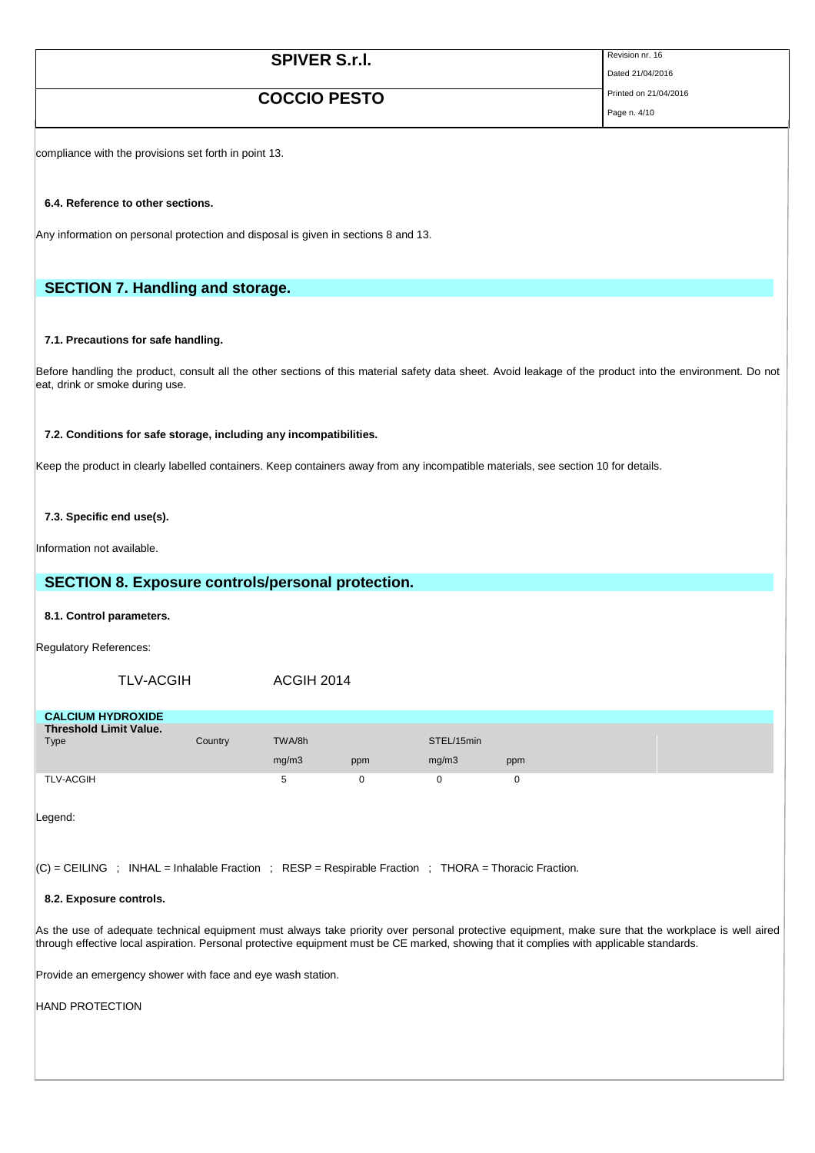| Revision nr. 16<br><b>SPIVER S.r.I.</b> |  |
|-----------------------------------------|--|
|-----------------------------------------|--|

Dated 21/04/2016

# **COCCIO PESTO** Printed on 21/04/2016

Page n. 4/10

compliance with the provisions set forth in point 13.

### **6.4. Reference to other sections.**

Any information on personal protection and disposal is given in sections 8 and 13.

# **SECTION 7. Handling and storage.**

### **7.1. Precautions for safe handling.**

Before handling the product, consult all the other sections of this material safety data sheet. Avoid leakage of the product into the environment. Do not eat, drink or smoke during use.

### **7.2. Conditions for safe storage, including any incompatibilities.**

Keep the product in clearly labelled containers. Keep containers away from any incompatible materials, see section 10 for details.

#### **7.3. Specific end use(s).**

Information not available.

### **SECTION 8. Exposure controls/personal protection.**

#### **8.1. Control parameters.**

Regulatory References:

### TLV-ACGIH ACGIH 2014

| <b>CALCIUM HYDROXIDE</b>      |         |        |     |            |     |  |
|-------------------------------|---------|--------|-----|------------|-----|--|
| <b>Threshold Limit Value.</b> |         |        |     |            |     |  |
| Type                          | Country | TWA/8h |     | STEL/15min |     |  |
|                               |         | mg/m3  | ppm | mq/m3      | ppm |  |
| <b>TLV-ACGIH</b>              |         |        |     |            |     |  |

Legend:

 $|C|$  = CEILING ; INHAL = Inhalable Fraction ; RESP = Respirable Fraction ; THORA = Thoracic Fraction.

#### **8.2. Exposure controls.**

As the use of adequate technical equipment must always take priority over personal protective equipment, make sure that the workplace is well aired through effective local aspiration. Personal protective equipment must be CE marked, showing that it complies with applicable standards.

Provide an emergency shower with face and eye wash station.

#### HAND PROTECTION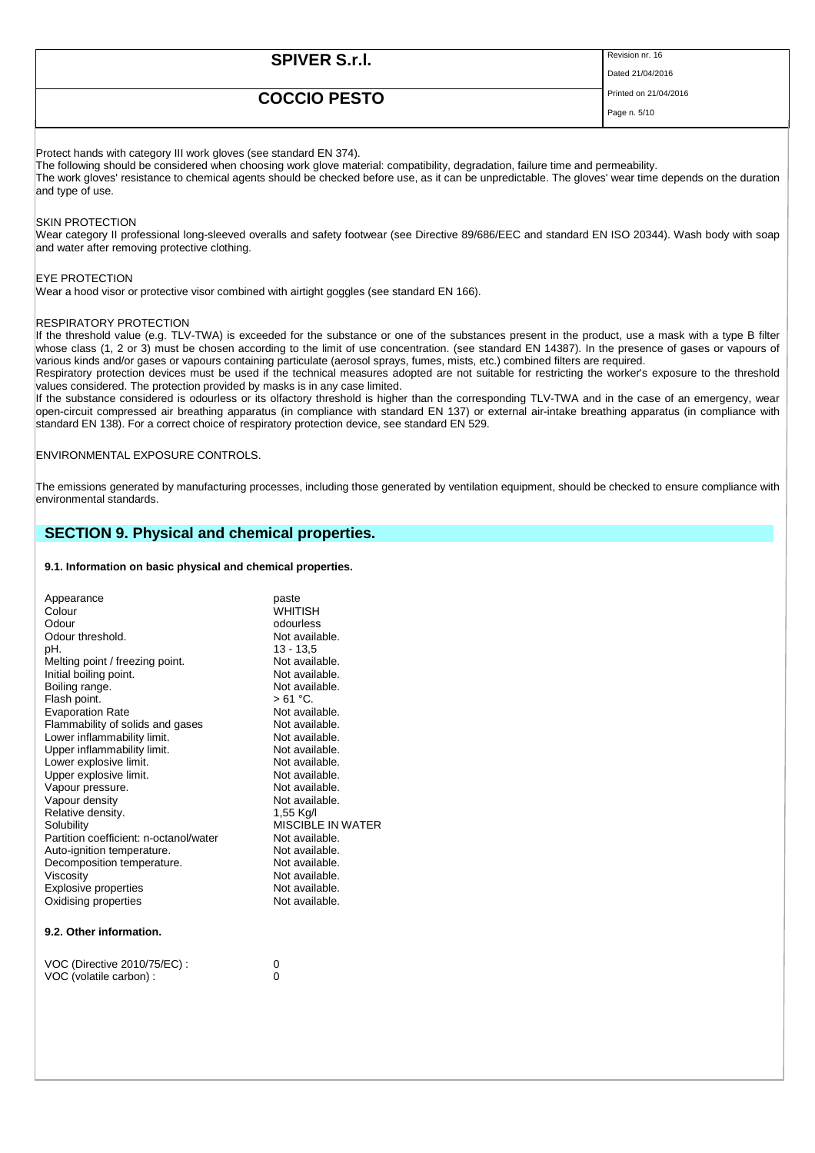| <b>SPIVER S.r.I.</b> | Revision nr. 16       |
|----------------------|-----------------------|
|                      | Dated 21/04/2016      |
| <b>COCCIO PESTO</b>  | Printed on 21/04/2016 |
|                      | Page n. 5/10          |
|                      |                       |

Protect hands with category III work gloves (see standard EN 374).

The following should be considered when choosing work glove material: compatibility, degradation, failure time and permeability. The work gloves' resistance to chemical agents should be checked before use, as it can be unpredictable. The gloves' wear time depends on the duration and type of use.

#### SKIN PROTECTION

Wear category II professional long-sleeved overalls and safety footwear (see Directive 89/686/EEC and standard EN ISO 20344). Wash body with soap and water after removing protective clothing.

#### EYE PROTECTION

Wear a hood visor or protective visor combined with airtight goggles (see standard EN 166).

#### RESPIRATORY PROTECTION

If the threshold value (e.g. TLV-TWA) is exceeded for the substance or one of the substances present in the product, use a mask with a type B filter whose class (1, 2 or 3) must be chosen according to the limit of use concentration. (see standard EN 14387). In the presence of gases or vapours of various kinds and/or gases or vapours containing particulate (aerosol sprays, fumes, mists, etc.) combined filters are required.

Respiratory protection devices must be used if the technical measures adopted are not suitable for restricting the worker's exposure to the threshold values considered. The protection provided by masks is in any case limited.

If the substance considered is odourless or its olfactory threshold is higher than the corresponding TLV-TWA and in the case of an emergency, wear open-circuit compressed air breathing apparatus (in compliance with standard EN 137) or external air-intake breathing apparatus (in compliance with standard EN 138). For a correct choice of respiratory protection device, see standard EN 529.

#### ENVIRONMENTAL EXPOSURE CONTROLS.

The emissions generated by manufacturing processes, including those generated by ventilation equipment, should be checked to ensure compliance with environmental standards.

### **SECTION 9. Physical and chemical properties.**

#### **9.1. Information on basic physical and chemical properties.**

| Appearance<br>Colour<br>Odour<br>Odour threshold.<br>pH.<br>Melting point / freezing point.<br>Initial boiling point.<br>Boiling range.<br>Flash point.<br><b>Evaporation Rate</b><br>Flammability of solids and gases<br>Lower inflammability limit.<br>Upper inflammability limit.<br>Lower explosive limit.<br>Upper explosive limit.<br>Vapour pressure.<br>Vapour density<br>Relative density.<br>Solubility<br>Partition coefficient: n-octanol/water<br>Auto-ignition temperature.<br>Decomposition temperature.<br>Viscosity<br><b>Explosive properties</b><br>Oxidising properties | paste<br>WHITISH<br>odourless<br>Not available.<br>$13 - 13.5$<br>Not available.<br>Not available.<br>Not available.<br>> 61 °C.<br>Not available.<br>Not available.<br>Not available.<br>Not available.<br>Not available.<br>Not available.<br>Not available.<br>Not available.<br>1,55 Kg/l<br>MISCIBI F IN WATER<br>Not available.<br>Not available.<br>Not available.<br>Not available.<br>Not available.<br>Not available. |
|---------------------------------------------------------------------------------------------------------------------------------------------------------------------------------------------------------------------------------------------------------------------------------------------------------------------------------------------------------------------------------------------------------------------------------------------------------------------------------------------------------------------------------------------------------------------------------------------|---------------------------------------------------------------------------------------------------------------------------------------------------------------------------------------------------------------------------------------------------------------------------------------------------------------------------------------------------------------------------------------------------------------------------------|
| 9.2. Other information.                                                                                                                                                                                                                                                                                                                                                                                                                                                                                                                                                                     |                                                                                                                                                                                                                                                                                                                                                                                                                                 |
|                                                                                                                                                                                                                                                                                                                                                                                                                                                                                                                                                                                             |                                                                                                                                                                                                                                                                                                                                                                                                                                 |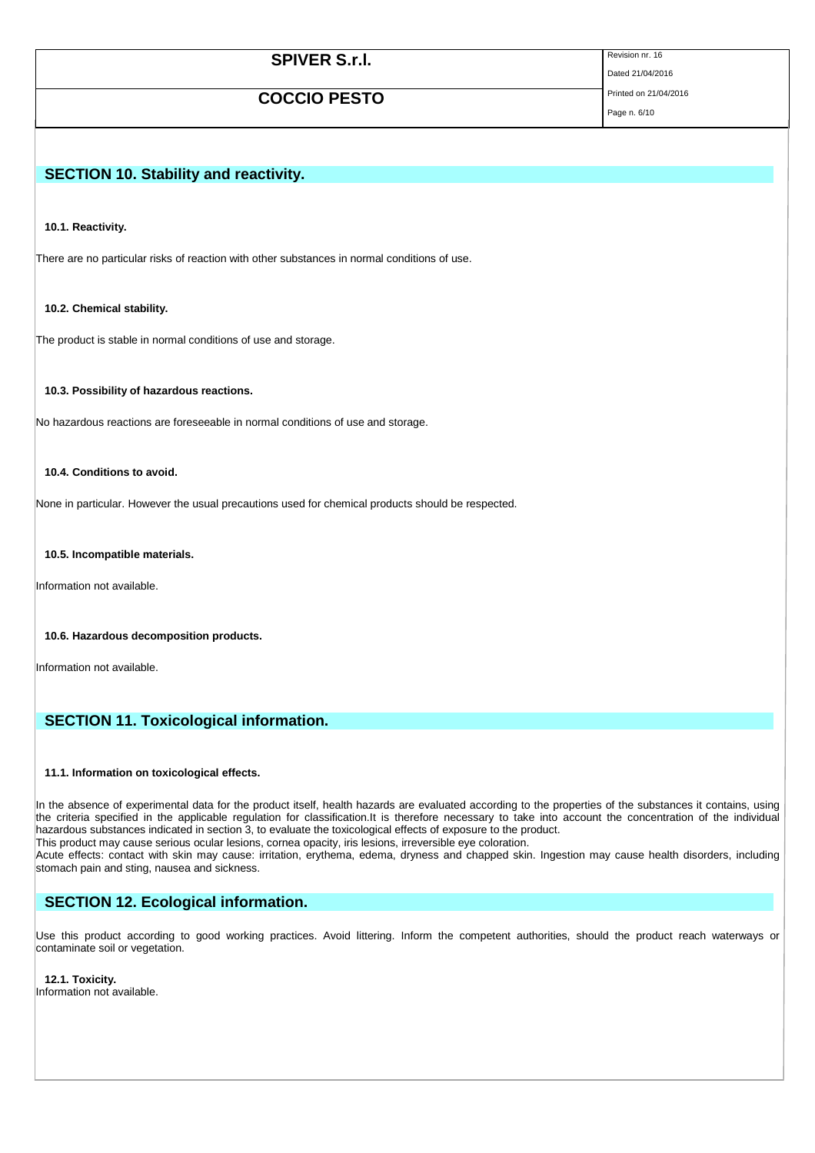| <b>SPIVER S.r.I.</b> | Revision nr. 16       |
|----------------------|-----------------------|
|                      | Dated 21/04/2016      |
| <b>COCCIO PESTO</b>  | Printed on 21/04/2016 |
|                      | Page n. 6/10          |
|                      |                       |

## **SECTION 10. Stability and reactivity.**

**10.1. Reactivity.**

There are no particular risks of reaction with other substances in normal conditions of use.

**10.2. Chemical stability.**

The product is stable in normal conditions of use and storage.

**10.3. Possibility of hazardous reactions.**

No hazardous reactions are foreseeable in normal conditions of use and storage.

#### **10.4. Conditions to avoid.**

None in particular. However the usual precautions used for chemical products should be respected.

**10.5. Incompatible materials.**

Information not available.

#### **10.6. Hazardous decomposition products.**

Information not available.

### **SECTION 11. Toxicological information.**

#### **11.1. Information on toxicological effects.**

In the absence of experimental data for the product itself, health hazards are evaluated according to the properties of the substances it contains, using the criteria specified in the applicable regulation for classification.It is therefore necessary to take into account the concentration of the individual hazardous substances indicated in section 3, to evaluate the toxicological effects of exposure to the product.

This product may cause serious ocular lesions, cornea opacity, iris lesions, irreversible eye coloration.

Acute effects: contact with skin may cause: irritation, erythema, edema, dryness and chapped skin. Ingestion may cause health disorders, including stomach pain and sting, nausea and sickness.

### **SECTION 12. Ecological information.**

Use this product according to good working practices. Avoid littering. Inform the competent authorities, should the product reach waterways or contaminate soil or vegetation.

**12.1. Toxicity.**

Information not available.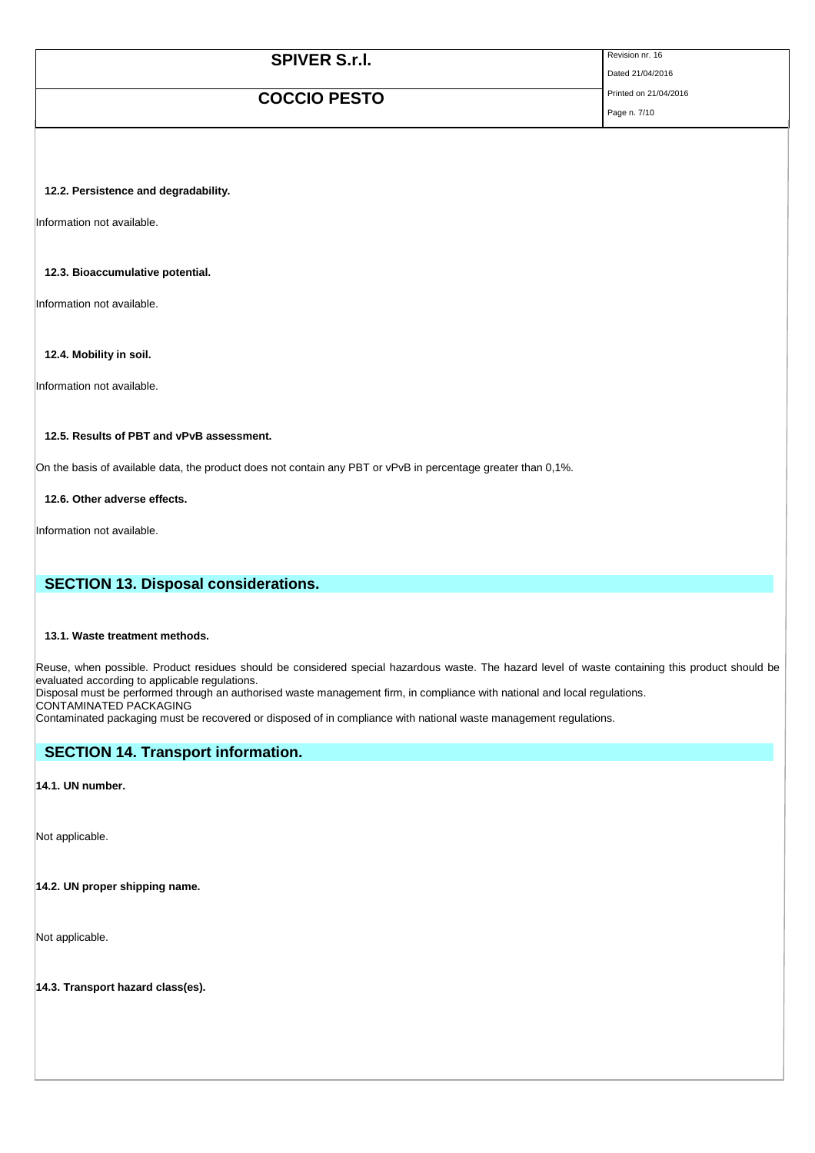| <b>SPIVER S.r.I.</b> | Revision nr. 16       |
|----------------------|-----------------------|
|                      | Dated 21/04/2016      |
| <b>COCCIO PESTO</b>  | Printed on 21/04/2016 |
|                      | Page n. 7/10          |

#### **12.2. Persistence and degradability.**

Information not available.

#### **12.3. Bioaccumulative potential.**

Information not available.

### **12.4. Mobility in soil.**

Information not available.

### **12.5. Results of PBT and vPvB assessment.**

On the basis of available data, the product does not contain any PBT or vPvB in percentage greater than 0,1%.

**12.6. Other adverse effects.**

Information not available.

### **SECTION 13. Disposal considerations.**

#### **13.1. Waste treatment methods.**

Reuse, when possible. Product residues should be considered special hazardous waste. The hazard level of waste containing this product should be evaluated according to applicable regulations.

Disposal must be performed through an authorised waste management firm, in compliance with national and local regulations.

CONTAMINATED PACKAGING

Contaminated packaging must be recovered or disposed of in compliance with national waste management regulations.

### **SECTION 14. Transport information.**

**14.1. UN number.** 

Not applicable.

**14.2. UN proper shipping name.** 

Not applicable.

**14.3. Transport hazard class(es).**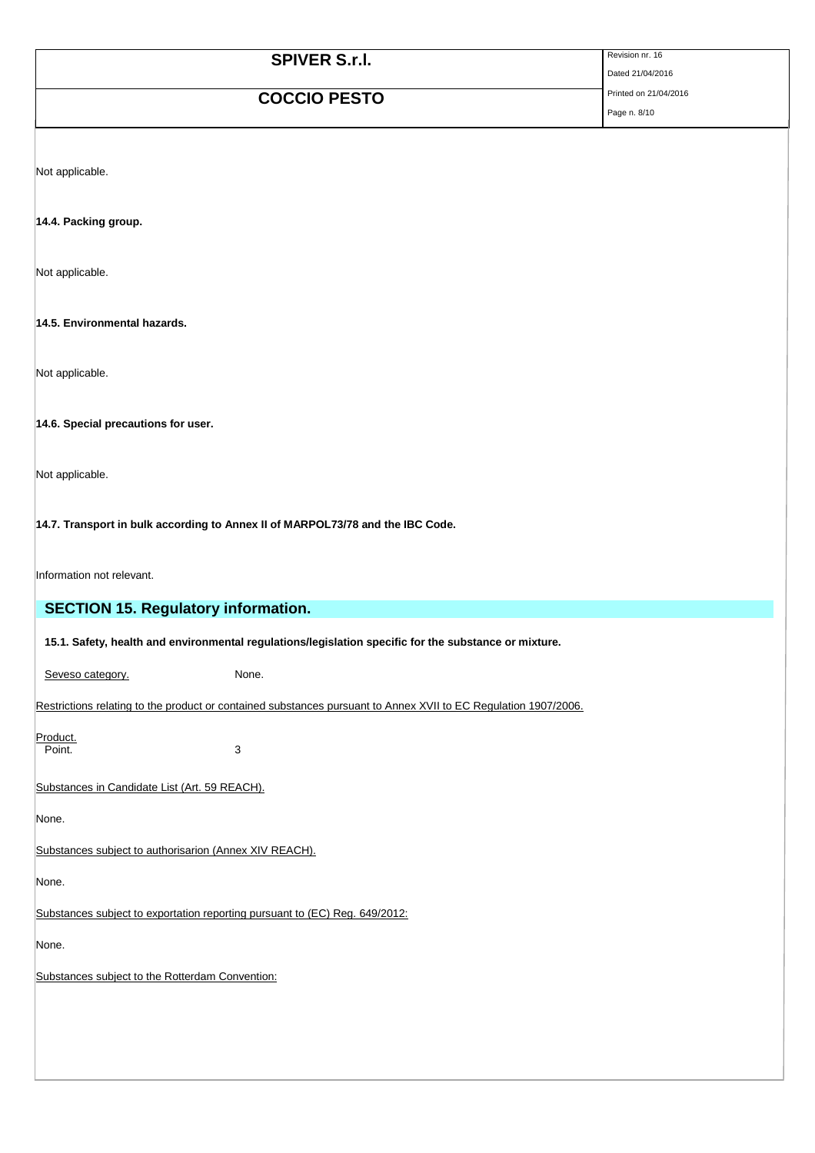| <b>SPIVER S.r.I.</b> | Revision nr. 16       |
|----------------------|-----------------------|
|                      | Dated 21/04/2016      |
| <b>COCCIO PESTO</b>  | Printed on 21/04/2016 |
|                      | Page n. 8/10          |

Not applicable.

**14.4. Packing group.** 

Not applicable.

**14.5. Environmental hazards.** 

Not applicable.

**14.6. Special precautions for user.** 

Not applicable.

**14.7. Transport in bulk according to Annex II of MARPOL73/78 and the IBC Code.** 

Information not relevant.

| <b>SECTION 15. Regulatory information.</b>                                                                      |  |
|-----------------------------------------------------------------------------------------------------------------|--|
|                                                                                                                 |  |
| 15.1. Safety, health and environmental regulations/legislation specific for the substance or mixture.           |  |
| None.<br>Seveso category.                                                                                       |  |
| Restrictions relating to the product or contained substances pursuant to Annex XVII to EC Regulation 1907/2006. |  |
| Product.<br>Point.                                                                                              |  |
| 3                                                                                                               |  |
| Substances in Candidate List (Art. 59 REACH).                                                                   |  |
| None.                                                                                                           |  |
| Substances subject to authorisarion (Annex XIV REACH).                                                          |  |
| None.                                                                                                           |  |
| Substances subject to exportation reporting pursuant to (EC) Reg. 649/2012:                                     |  |
| None.                                                                                                           |  |
| Substances subject to the Rotterdam Convention:                                                                 |  |
|                                                                                                                 |  |
|                                                                                                                 |  |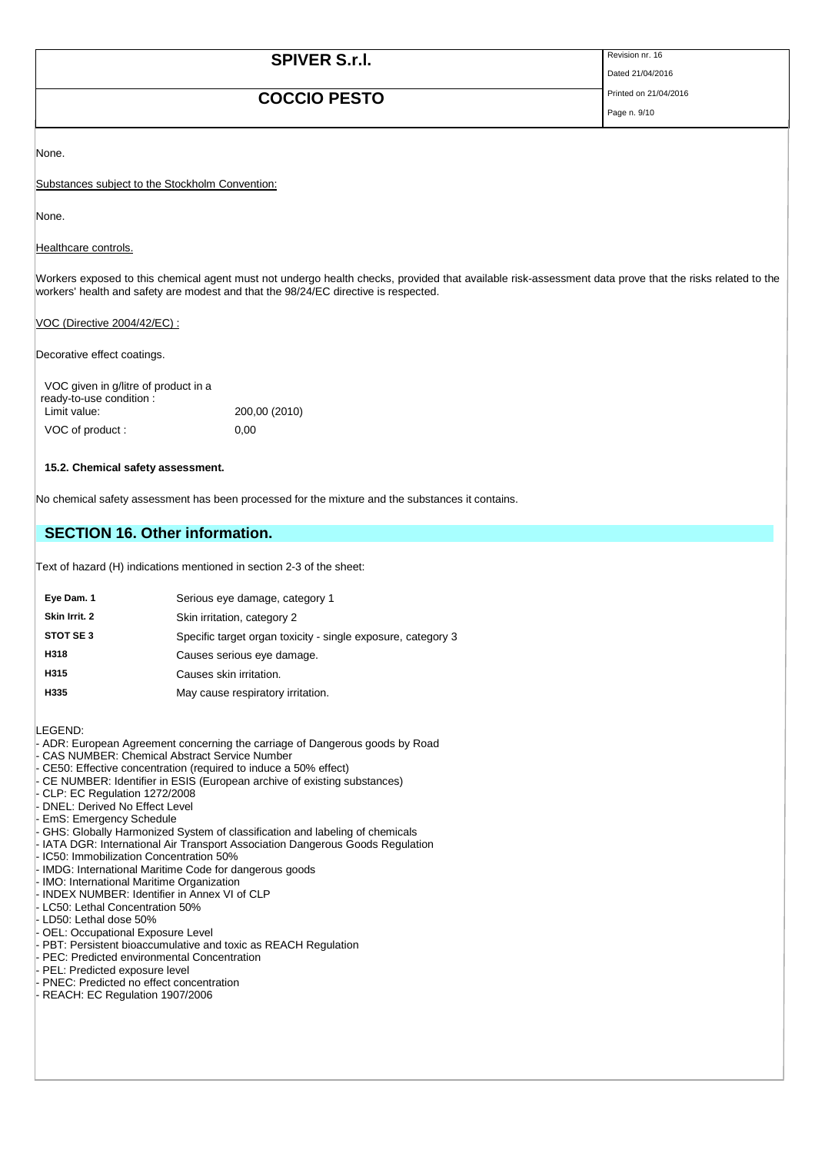# **SPIVER S.r.I.** Revision nr. 16

# **COCCIO PESTO** Printed on 21/04/2016

Dated 21/04/2016

Page n. 9/10

None.

Substances subject to the Stockholm Convention:

None.

Healthcare controls.

Workers exposed to this chemical agent must not undergo health checks, provided that available risk-assessment data prove that the risks related to the workers' health and safety are modest and that the 98/24/EC directive is respected.

VOC (Directive 2004/42/EC) :

Decorative effect coatings.

| VOC given in g/litre of product in a<br>ready-to-use condition : |               |
|------------------------------------------------------------------|---------------|
| Limit value:                                                     | 200,00 (2010) |
| VOC of product:                                                  | 0.00          |

#### **15.2. Chemical safety assessment.**

No chemical safety assessment has been processed for the mixture and the substances it contains.

## **SECTION 16. Other information.**

Text of hazard (H) indications mentioned in section 2-3 of the sheet:

| Eye Dam. 1    | Serious eye damage, category 1                               |
|---------------|--------------------------------------------------------------|
| Skin Irrit. 2 | Skin irritation, category 2                                  |
| STOT SE3      | Specific target organ toxicity - single exposure, category 3 |
| H318          | Causes serious eye damage.                                   |
| H315          | Causes skin irritation.                                      |
| H335          | May cause respiratory irritation.                            |

LEGEND:

- ADR: European Agreement concerning the carriage of Dangerous goods by Road
- CAS NUMBER: Chemical Abstract Service Number
- CE50: Effective concentration (required to induce a 50% effect)
- CE NUMBER: Identifier in ESIS (European archive of existing substances)
- CLP: EC Regulation 1272/2008
- DNEL: Derived No Effect Level
- EmS: Emergency Schedule
- GHS: Globally Harmonized System of classification and labeling of chemicals
- IATA DGR: International Air Transport Association Dangerous Goods Regulation
- IC50: Immobilization Concentration 50%
- IMDG: International Maritime Code for dangerous goods
- IMO: International Maritime Organization
- INDEX NUMBER: Identifier in Annex VI of CLP LC50: Lethal Concentration 50%
- LD50: Lethal dose 50%
- OEL: Occupational Exposure Level
- PBT: Persistent bioaccumulative and toxic as REACH Regulation
- PEC: Predicted environmental Concentration
- PEL: Predicted exposure level
- PNEC: Predicted no effect concentration
- REACH: EC Regulation 1907/2006